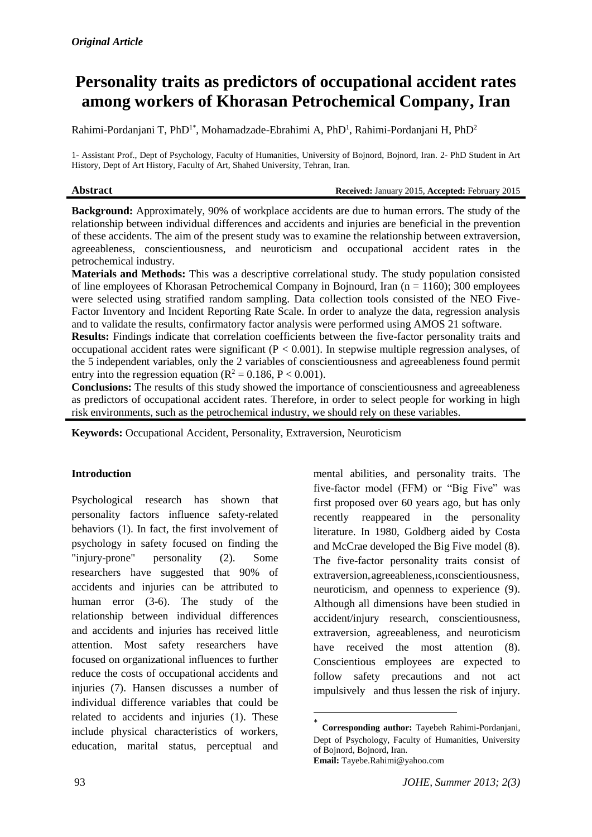# **Personality traits as predictors of occupational accident rates among workers of Khorasan Petrochemical Company, Iran**

Rahimi-Pordanjani T, PhD<sup>1\*</sup>, Mohamadzade-Ebrahimi A, PhD<sup>1</sup>, Rahimi-Pordanjani H, PhD<sup>2</sup>

1- Assistant Prof., Dept of Psychology, Faculty of Humanities, University of Bojnord, Bojnord, Iran. 2- PhD Student in Art History, Dept of Art History, Faculty of Art, Shahed University, Tehran, Iran.

```
Abstract Received: January 2015, Accepted: February 2015
```
**Background:** Approximately, 90% of workplace accidents are due to human errors. The study of the relationship between individual differences and accidents and injuries are beneficial in the prevention of these accidents. The aim of the present study was to examine the relationship between extraversion, agreeableness, conscientiousness, and neuroticism and occupational accident rates in the petrochemical industry.

**Materials and Methods:** This was a descriptive correlational study. The study population consisted of line employees of Khorasan Petrochemical Company in Bojnourd, Iran (n = 1160); 300 employees were selected using stratified random sampling. Data collection tools consisted of the NEO Five-Factor Inventory and Incident Reporting Rate Scale. In order to analyze the data, regression analysis and to validate the results, confirmatory factor analysis were performed using AMOS 21 software.

**Results:** Findings indicate that correlation coefficients between the five-factor personality traits and occupational accident rates were significant (P < 0.001). In stepwise multiple regression analyses, of the 5 independent variables, only the 2 variables of conscientiousness and agreeableness found permit entry into the regression equation ( $R^2 = 0.186$ ,  $P < 0.001$ ).

**Conclusions:** The results of this study showed the importance of conscientiousness and agreeableness as predictors of occupational accident rates. Therefore, in order to select people for working in high risk environments, such as the petrochemical industry, we should rely on these variables.

**.** 

**Keywords:** Occupational Accident, Personality, Extraversion, Neuroticism

## **Introduction**

Psychological research has shown that personality factors influence safety-related behaviors (1). In fact, the first involvement of psychology in safety focused on finding the "injury-prone" personality (2). Some researchers have suggested that 90% of accidents and injuries can be attributed to human error (3-6). The study of the relationship between individual differences and accidents and injuries has received little attention. Most safety researchers have focused on organizational influences to further reduce the costs of occupational accidents and injuries (7). Hansen discusses a number of individual difference variables that could be related to accidents and injuries (1). These include physical characteristics of workers, education, marital status, perceptual and mental abilities, and personality traits. The five-factor model (FFM) or "Big Five" was first proposed over 60 years ago, but has only recently reappeared in the personality literature. In 1980, Goldberg aided by Costa and McCrae developed the Big Five model (8). The five-factor personality traits consist of extraversion, agreeableness, 1conscientiousness, neuroticism, and openness to experience (9). Although all dimensions have been studied in accident/injury research, conscientiousness, extraversion, agreeableness, and neuroticism have received the most attention (8). Conscientious employees are expected to follow safety precautions and not act impulsively and thus lessen the risk of injury.

<sup>\*</sup> **Corresponding author:** Tayebeh Rahimi-Pordanjani, Dept of Psychology, Faculty of Humanities, University of Bojnord, Bojnord, Iran. **Email:** Tayebe.Rahimi@yahoo.com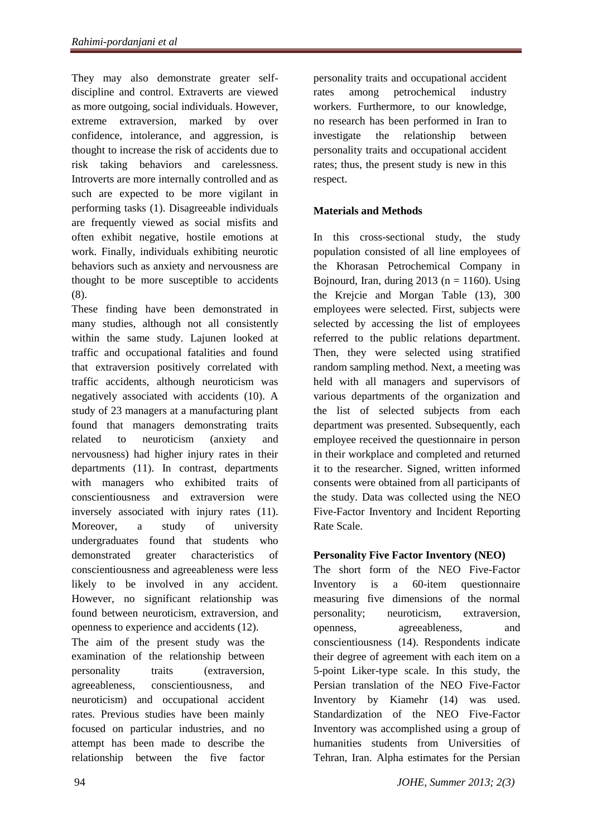They may also demonstrate greater selfdiscipline and control. Extraverts are viewed as more outgoing, social individuals. However, extreme extraversion, marked by over confidence, intolerance, and aggression, is thought to increase the risk of accidents due to risk taking behaviors and carelessness. Introverts are more internally controlled and as such are expected to be more vigilant in performing tasks (1). Disagreeable individuals are frequently viewed as social misfits and often exhibit negative, hostile emotions at work. Finally, individuals exhibiting neurotic behaviors such as anxiety and nervousness are thought to be more susceptible to accidents (8).

These finding have been demonstrated in many studies, although not all consistently within the same study. Lajunen looked at traffic and occupational fatalities and found that extraversion positively correlated with traffic accidents, although neuroticism was negatively associated with accidents (10). A study of 23 managers at a manufacturing plant found that managers demonstrating traits related to neuroticism (anxiety and nervousness) had higher injury rates in their departments (11). In contrast, departments with managers who exhibited traits of conscientiousness and extraversion were inversely associated with injury rates (11). Moreover, a study of university undergraduates found that students who demonstrated greater characteristics of conscientiousness and agreeableness were less likely to be involved in any accident. However, no significant relationship was found between neuroticism, extraversion, and openness to experience and accidents (12).

The aim of the present study was the examination of the relationship between personality traits (extraversion, agreeableness, conscientiousness, and neuroticism) and occupational accident rates. Previous studies have been mainly focused on particular industries, and no attempt has been made to describe the relationship between the five factor

personality traits and occupational accident rates among petrochemical industry workers. Furthermore, to our knowledge, no research has been performed in Iran to investigate the relationship between personality traits and occupational accident rates; thus, the present study is new in this respect.

# **Materials and Methods**

In this cross-sectional study, the study population consisted of all line employees of the Khorasan Petrochemical Company in Bojnourd, Iran, during  $2013$  (n = 1160). Using the Krejcie and Morgan Table (13), 300 employees were selected. First, subjects were selected by accessing the list of employees referred to the public relations department. Then, they were selected using stratified random sampling method. Next, a meeting was held with all managers and supervisors of various departments of the organization and the list of selected subjects from each department was presented. Subsequently, each employee received the questionnaire in person in their workplace and completed and returned it to the researcher. Signed, written informed consents were obtained from all participants of the study. Data was collected using the NEO Five-Factor Inventory and Incident Reporting Rate Scale.

# **Personality Five Factor Inventory (NEO)**

The short form of the NEO Five-Factor Inventory is a 60-item questionnaire measuring five dimensions of the normal personality; neuroticism, extraversion, openness, agreeableness, and conscientiousness (14). Respondents indicate their degree of agreement with each item on a 5-point Liker-type scale. In this study, the Persian translation of the NEO Five-Factor Inventory by Kiamehr (14) was used. Standardization of the NEO Five-Factor Inventory was accomplished using a group of humanities students from Universities of Tehran, Iran. Alpha estimates for the Persian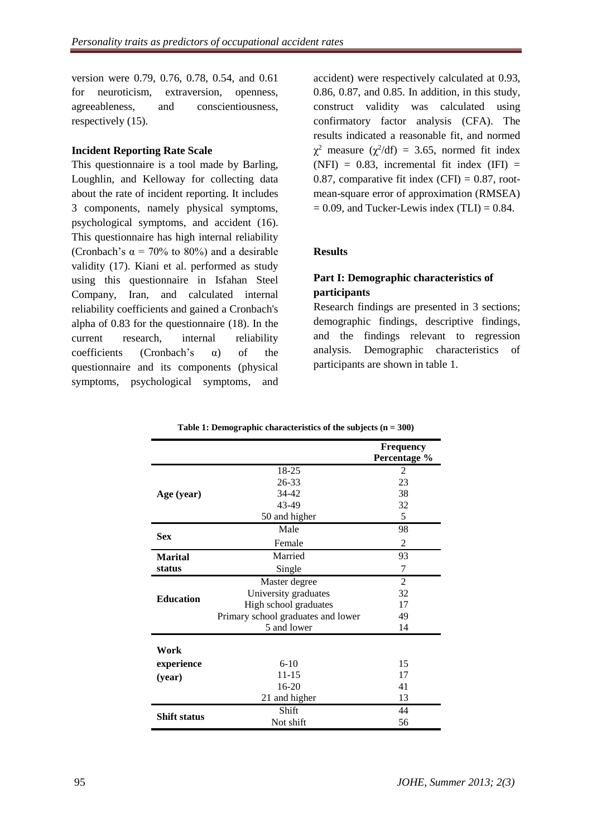version were 0.79, 0.76, 0.78, 0.54, and 0.61 for neuroticism, extraversion, openness, agreeableness, and conscientiousness, respectively (15).

#### **Incident Reporting Rate Scale**

This questionnaire is a tool made by Barling, Loughlin, and Kelloway for collecting data about the rate of incident reporting. It includes 3 components, namely physical symptoms, psychological symptoms, and accident (16). This questionnaire has high internal reliability (Cronbach's  $\alpha = 70\%$  to 80%) and a desirable validity (17). Kiani et al. performed as study using this questionnaire in Isfahan Steel Company, Iran, and calculated internal reliability coefficients and gained a Cronbach's alpha of 0.83 for the questionnaire (18). In the current research, internal reliability coefficients (Cronbach's α) of the questionnaire and its components (physical symptoms, psychological symptoms, and

accident) were respectively calculated at 0.93, 0.86, 0.87, and 0.85. In addition, in this study, construct validity was calculated using confirmatory factor analysis (CFA). The results indicated a reasonable fit, and normed  $\chi^2$  measure ( $\chi^2$ /df) = 3.65, normed fit index (NFI) =  $0.83$ , incremental fit index (IFI) = 0.87, comparative fit index  $(CFI) = 0.87$ , rootmean-square error of approximation (RMSEA)  $= 0.09$ , and Tucker-Lewis index (TLI)  $= 0.84$ .

### **Results**

# **Part I: Demographic characteristics of participants**

Research findings are presented in 3 sections; demographic findings, descriptive findings, and the findings relevant to regression analysis. Demographic characteristics of participants are shown in table 1.

|                     |                                    | <b>Frequency</b><br>Percentage % |
|---------------------|------------------------------------|----------------------------------|
|                     | 18-25                              | 2                                |
|                     | 26-33                              | 23                               |
| Age (year)          | 34-42                              | 38                               |
|                     | 43-49                              | 32                               |
|                     | 50 and higher                      | 5                                |
| <b>Sex</b>          | Male                               | 98                               |
|                     | Female                             | $\overline{2}$                   |
| <b>Marital</b>      | Married                            | 93                               |
| status              | Single                             | 7                                |
|                     | Master degree                      | $\overline{2}$                   |
|                     | University graduates               | 32                               |
| <b>Education</b>    | High school graduates              | 17                               |
|                     | Primary school graduates and lower | 49                               |
|                     | 5 and lower                        | 14                               |
| Work                |                                    |                                  |
| experience          | $6 - 10$                           | 15                               |
| (year)              | $11 - 15$                          | 17                               |
|                     | 16-20                              | 41                               |
|                     | 21 and higher                      | 13                               |
|                     | Shift                              | 44                               |
| <b>Shift status</b> | Not shift                          | 56                               |

**Table 1: Demographic characteristics of the subjects (n = 300)**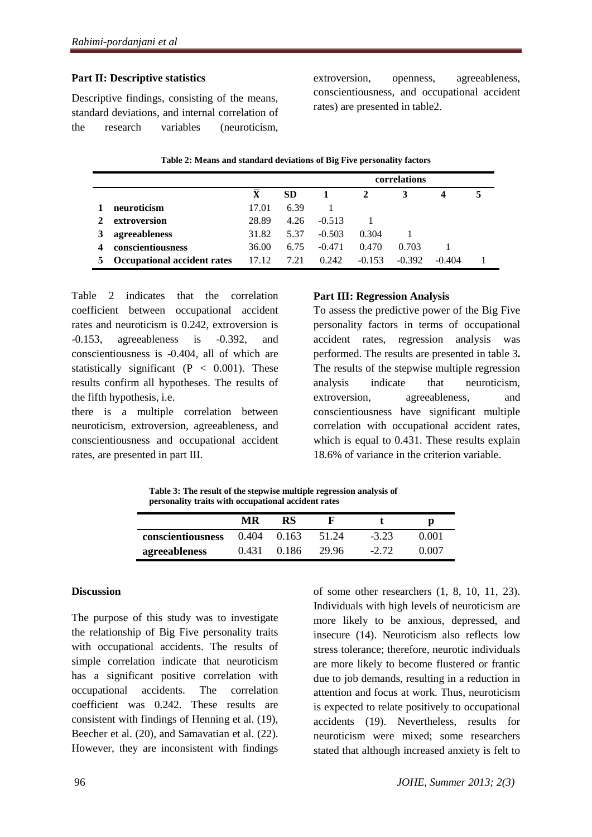# **Part II: Descriptive statistics**

Descriptive findings, consisting of the means, standard deviations, and internal correlation of the research variables (neuroticism,

extroversion, openness, agreeableness, conscientiousness, and occupational accident rates) are presented in table2.

| Table 2. Means and standard deviations of Dig Prve personality factors |                         |           |          |              |          |          |  |  |  |
|------------------------------------------------------------------------|-------------------------|-----------|----------|--------------|----------|----------|--|--|--|
|                                                                        |                         |           |          | correlations |          |          |  |  |  |
|                                                                        | $\overline{\mathbf{X}}$ | <b>SD</b> |          | 2            | 3        |          |  |  |  |
| neuroticism                                                            | 17.01                   | 6.39      |          |              |          |          |  |  |  |
| extroversion                                                           | 28.89                   | 4.26      | $-0.513$ |              |          |          |  |  |  |
| agreeableness                                                          | 31.82                   | 5.37      | $-0.503$ | 0.304        |          |          |  |  |  |
| conscientiousness                                                      | 36.00                   | 6.75      | $-0.471$ | 0.470        | 0.703    |          |  |  |  |
| Occupational accident rates                                            | 17.12                   | 7.21      | 0.242    | $-0.153$     | $-0.392$ | $-0.404$ |  |  |  |

Table 2 indicates that the correlation coefficient between occupational accident rates and neuroticism is 0.242, extroversion is -0.153, agreeableness is -0.392, and conscientiousness is -0.404, all of which are statistically significant ( $P < 0.001$ ). These results confirm all hypotheses. The results of the fifth hypothesis, i.e.

there is a multiple correlation between neuroticism, extroversion, agreeableness, and conscientiousness and occupational accident rates, are presented in part III.

## **Part III: Regression Analysis**

To assess the predictive power of the Big Five personality factors in terms of occupational accident rates, regression analysis was performed. The results are presented in table 3**.** The results of the stepwise multiple regression analysis indicate that neuroticism, extroversion, agreeableness, and conscientiousness have significant multiple correlation with occupational accident rates, which is equal to 0.431. These results explain 18.6% of variance in the criterion variable.

**Table 3: The result of the stepwise multiple regression analysis of personality traits with occupational accident rates**

|                          | MR    | RS    |       |         |       |
|--------------------------|-------|-------|-------|---------|-------|
| <b>conscientiousness</b> | 0.404 | 0.163 | 51 24 | $-3.23$ | 0.001 |
| agreeableness            | 0.431 | 0.186 | 29.96 | $-2.72$ | 0.007 |

#### **Discussion**

The purpose of this study was to investigate the relationship of Big Five personality traits with occupational accidents. The results of simple correlation indicate that neuroticism has a significant positive correlation with occupational accidents. The correlation coefficient was 0.242. These results are consistent with findings of Henning et al. (19), Beecher et al. (20), and Samavatian et al. (22). However, they are inconsistent with findings

of some other researchers (1, 8, 10, 11, 23). Individuals with high levels of neuroticism are more likely to be anxious, depressed, and insecure (14). Neuroticism also reflects low stress tolerance; therefore, neurotic individuals are more likely to become flustered or frantic due to job demands, resulting in a reduction in attention and focus at work. Thus, neuroticism is expected to relate positively to occupational accidents (19). Nevertheless, results for neuroticism were mixed; some researchers stated that although increased anxiety is felt to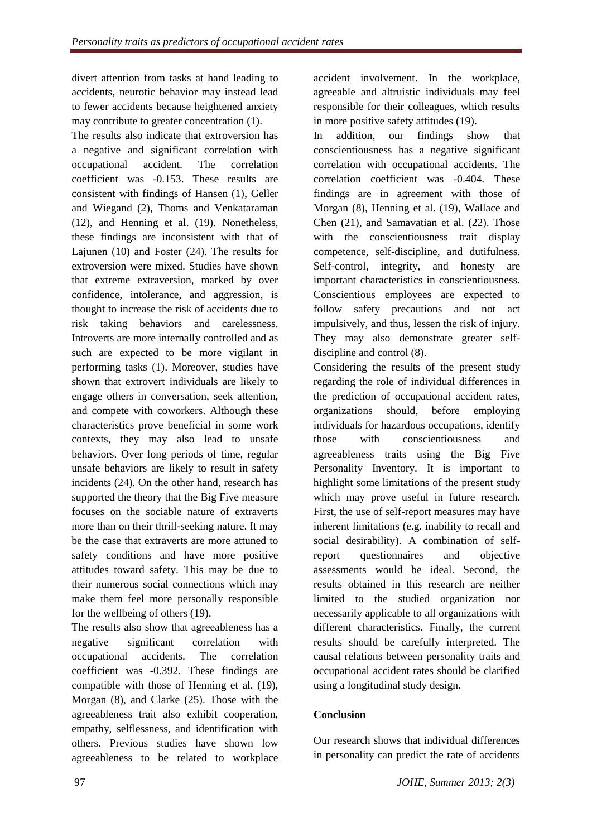divert attention from tasks at hand leading to accidents, neurotic behavior may instead lead to fewer accidents because heightened anxiety may contribute to greater concentration (1).

The results also indicate that extroversion has a negative and significant correlation with occupational accident. The correlation coefficient was -0.153. These results are consistent with findings of Hansen (1), Geller and Wiegand (2), Thoms and Venkataraman (12), and Henning et al. (19). Nonetheless, these findings are inconsistent with that of Lajunen (10) and Foster (24). The results for extroversion were mixed. Studies have shown that extreme extraversion, marked by over confidence, intolerance, and aggression, is thought to increase the risk of accidents due to risk taking behaviors and carelessness. Introverts are more internally controlled and as such are expected to be more vigilant in performing tasks (1). Moreover, studies have shown that extrovert individuals are likely to engage others in conversation, seek attention, and compete with coworkers. Although these characteristics prove beneficial in some work contexts, they may also lead to unsafe behaviors. Over long periods of time, regular unsafe behaviors are likely to result in safety incidents (24). On the other hand, research has supported the theory that the Big Five measure focuses on the sociable nature of extraverts more than on their thrill-seeking nature. It may be the case that extraverts are more attuned to safety conditions and have more positive attitudes toward safety. This may be due to their numerous social connections which may make them feel more personally responsible for the wellbeing of others (19).

The results also show that agreeableness has a negative significant correlation with occupational accidents. The correlation coefficient was -0.392. These findings are compatible with those of Henning et al. (19), Morgan (8), and Clarke (25). Those with the agreeableness trait also exhibit cooperation, empathy, selflessness, and identification with others. Previous studies have shown low agreeableness to be related to workplace accident involvement. In the workplace, agreeable and altruistic individuals may feel responsible for their colleagues, which results in more positive safety attitudes (19).

In addition, our findings show that conscientiousness has a negative significant correlation with occupational accidents. The correlation coefficient was -0.404. These findings are in agreement with those of Morgan (8), Henning et al. (19), Wallace and Chen (21), and Samavatian et al. (22). Those with the conscientiousness trait display competence, self-discipline, and dutifulness. Self-control, integrity, and honesty are important characteristics in conscientiousness. Conscientious employees are expected to follow safety precautions and not act impulsively, and thus, lessen the risk of injury. They may also demonstrate greater selfdiscipline and control (8).

Considering the results of the present study regarding the role of individual differences in the prediction of occupational accident rates, organizations should, before employing individuals for hazardous occupations, identify those with conscientiousness and agreeableness traits using the Big Five Personality Inventory. It is important to highlight some limitations of the present study which may prove useful in future research. First, the use of self-report measures may have inherent limitations (e.g. inability to recall and social desirability). A combination of selfreport questionnaires and objective assessments would be ideal. Second, the results obtained in this research are neither limited to the studied organization nor necessarily applicable to all organizations with different characteristics. Finally, the current results should be carefully interpreted. The causal relations between personality traits and occupational accident rates should be clarified using a longitudinal study design.

# **Conclusion**

Our research shows that individual differences in personality can predict the rate of accidents